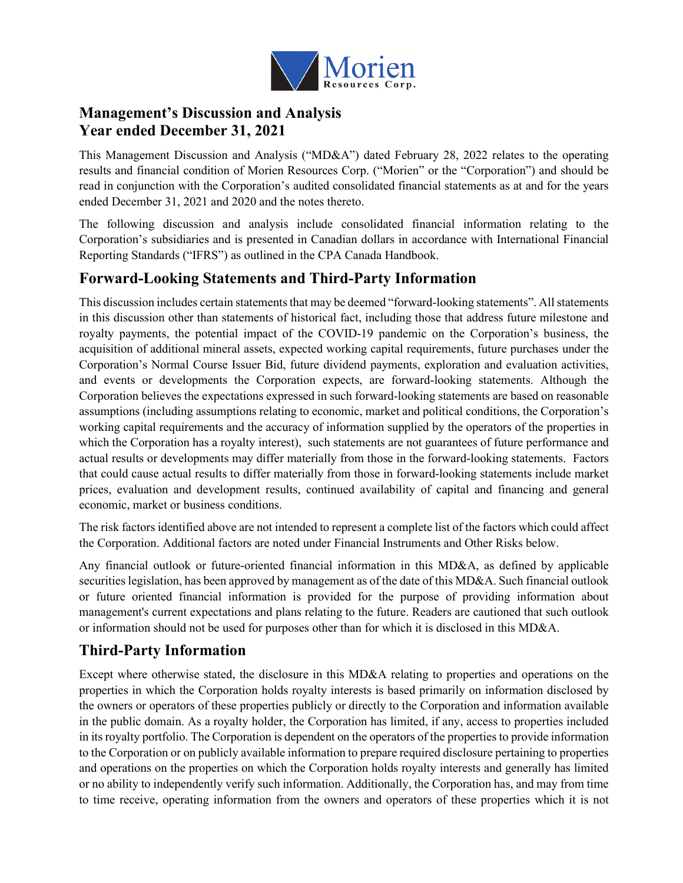

# **Management's Discussion and Analysis Year ended December 31, 2021**

This Management Discussion and Analysis ("MD&A") dated February 28, 2022 relates to the operating results and financial condition of Morien Resources Corp. ("Morien" or the "Corporation") and should be read in conjunction with the Corporation's audited consolidated financial statements as at and for the years ended December 31, 2021 and 2020 and the notes thereto.

The following discussion and analysis include consolidated financial information relating to the Corporation's subsidiaries and is presented in Canadian dollars in accordance with International Financial Reporting Standards ("IFRS") as outlined in the CPA Canada Handbook.

# **Forward-Looking Statements and Third-Party Information**

This discussion includes certain statements that may be deemed "forward-looking statements". All statements in this discussion other than statements of historical fact, including those that address future milestone and royalty payments, the potential impact of the COVID-19 pandemic on the Corporation's business, the acquisition of additional mineral assets, expected working capital requirements, future purchases under the Corporation's Normal Course Issuer Bid, future dividend payments, exploration and evaluation activities, and events or developments the Corporation expects, are forward-looking statements. Although the Corporation believes the expectations expressed in such forward-looking statements are based on reasonable assumptions (including assumptions relating to economic, market and political conditions, the Corporation's working capital requirements and the accuracy of information supplied by the operators of the properties in which the Corporation has a royalty interest), such statements are not guarantees of future performance and actual results or developments may differ materially from those in the forward-looking statements. Factors that could cause actual results to differ materially from those in forward-looking statements include market prices, evaluation and development results, continued availability of capital and financing and general economic, market or business conditions.

The risk factors identified above are not intended to represent a complete list of the factors which could affect the Corporation. Additional factors are noted under Financial Instruments and Other Risks below.

Any financial outlook or future-oriented financial information in this MD&A, as defined by applicable securities legislation, has been approved by management as of the date of this MD&A. Such financial outlook or future oriented financial information is provided for the purpose of providing information about management's current expectations and plans relating to the future. Readers are cautioned that such outlook or information should not be used for purposes other than for which it is disclosed in this MD&A.

# **Third-Party Information**

Except where otherwise stated, the disclosure in this MD&A relating to properties and operations on the properties in which the Corporation holds royalty interests is based primarily on information disclosed by the owners or operators of these properties publicly or directly to the Corporation and information available in the public domain. As a royalty holder, the Corporation has limited, if any, access to properties included in its royalty portfolio. The Corporation is dependent on the operators of the properties to provide information to the Corporation or on publicly available information to prepare required disclosure pertaining to properties and operations on the properties on which the Corporation holds royalty interests and generally has limited or no ability to independently verify such information. Additionally, the Corporation has, and may from time to time receive, operating information from the owners and operators of these properties which it is not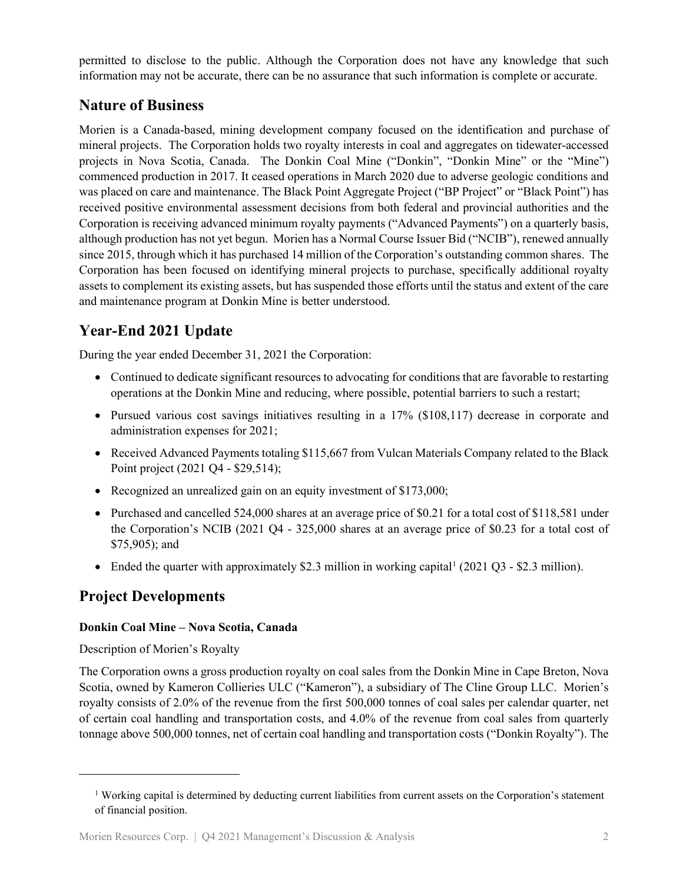permitted to disclose to the public. Although the Corporation does not have any knowledge that such information may not be accurate, there can be no assurance that such information is complete or accurate.

# **Nature of Business**

Morien is a Canada-based, mining development company focused on the identification and purchase of mineral projects. The Corporation holds two royalty interests in coal and aggregates on tidewater-accessed projects in Nova Scotia, Canada. The Donkin Coal Mine ("Donkin", "Donkin Mine" or the "Mine") commenced production in 2017. It ceased operations in March 2020 due to adverse geologic conditions and was placed on care and maintenance. The Black Point Aggregate Project ("BP Project" or "Black Point") has received positive environmental assessment decisions from both federal and provincial authorities and the Corporation is receiving advanced minimum royalty payments ("Advanced Payments") on a quarterly basis, although production has not yet begun. Morien has a Normal Course Issuer Bid ("NCIB"), renewed annually since 2015, through which it has purchased 14 million of the Corporation's outstanding common shares. The Corporation has been focused on identifying mineral projects to purchase, specifically additional royalty assets to complement its existing assets, but has suspended those efforts until the status and extent of the care and maintenance program at Donkin Mine is better understood.

# **Year-End 2021 Update**

During the year ended December 31, 2021 the Corporation:

- Continued to dedicate significant resources to advocating for conditions that are favorable to restarting operations at the Donkin Mine and reducing, where possible, potential barriers to such a restart;
- Pursued various cost savings initiatives resulting in a 17% (\$108,117) decrease in corporate and administration expenses for 2021;
- Received Advanced Payments totaling \$115,667 from Vulcan Materials Company related to the Black Point project (2021 Q4 - \$29,514);
- Recognized an unrealized gain on an equity investment of \$173,000;
- Purchased and cancelled 524,000 shares at an average price of \$0.21 for a total cost of \$118,581 under the Corporation's NCIB (2021 Q4 - 325,000 shares at an average price of \$0.23 for a total cost of \$75,905); and
- Ended the quarter with approximately \$2.3 million in working capital  $(2021 \text{ Q}3 $2.3 \text{ million})$  $(2021 \text{ Q}3 $2.3 \text{ million})$  $(2021 \text{ Q}3 $2.3 \text{ million})$ .

# **Project Developments**

### **Donkin Coal Mine – Nova Scotia, Canada**

### Description of Morien's Royalty

The Corporation owns a gross production royalty on coal sales from the Donkin Mine in Cape Breton, Nova Scotia, owned by Kameron Collieries ULC ("Kameron"), a subsidiary of The Cline Group LLC. Morien's royalty consists of 2.0% of the revenue from the first 500,000 tonnes of coal sales per calendar quarter, net of certain coal handling and transportation costs, and 4.0% of the revenue from coal sales from quarterly tonnage above 500,000 tonnes, net of certain coal handling and transportation costs ("Donkin Royalty"). The

<span id="page-1-0"></span><sup>1</sup> Working capital is determined by deducting current liabilities from current assets on the Corporation's statement of financial position.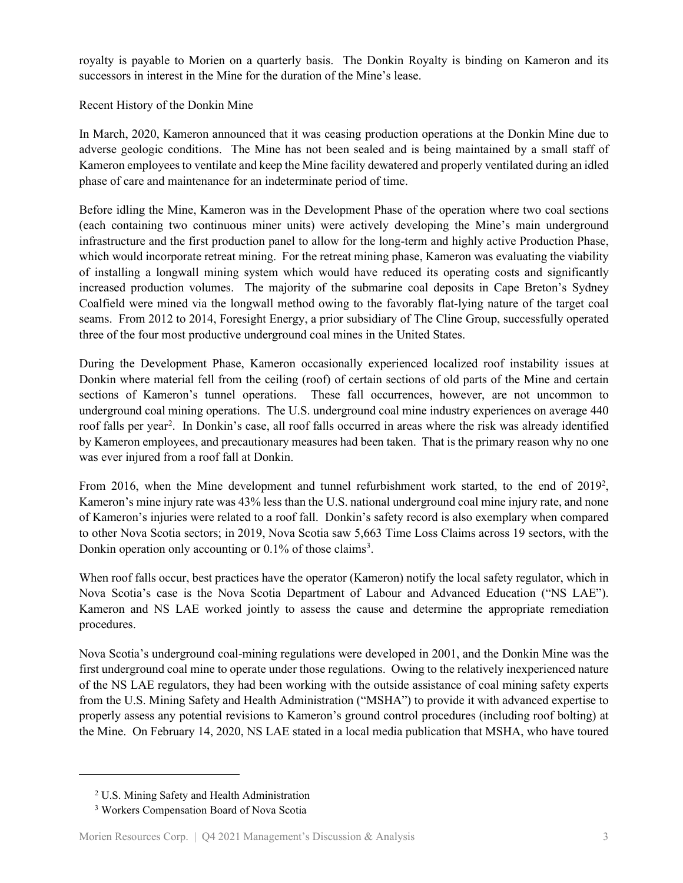royalty is payable to Morien on a quarterly basis. The Donkin Royalty is binding on Kameron and its successors in interest in the Mine for the duration of the Mine's lease.

Recent History of the Donkin Mine

In March, 2020, Kameron announced that it was ceasing production operations at the Donkin Mine due to adverse geologic conditions. The Mine has not been sealed and is being maintained by a small staff of Kameron employees to ventilate and keep the Mine facility dewatered and properly ventilated during an idled phase of care and maintenance for an indeterminate period of time.

Before idling the Mine, Kameron was in the Development Phase of the operation where two coal sections (each containing two continuous miner units) were actively developing the Mine's main underground infrastructure and the first production panel to allow for the long-term and highly active Production Phase, which would incorporate retreat mining. For the retreat mining phase, Kameron was evaluating the viability of installing a longwall mining system which would have reduced its operating costs and significantly increased production volumes. The majority of the submarine coal deposits in Cape Breton's Sydney Coalfield were mined via the longwall method owing to the favorably flat-lying nature of the target coal seams. From 2012 to 2014, Foresight Energy, a prior subsidiary of The Cline Group, successfully operated three of the four most productive underground coal mines in the United States.

During the Development Phase, Kameron occasionally experienced localized roof instability issues at Donkin where material fell from the ceiling (roof) of certain sections of old parts of the Mine and certain sections of Kameron's tunnel operations. These fall occurrences, however, are not uncommon to underground coal mining operations. The U.S. underground coal mine industry experiences on average 440 roof falls per year<sup>[2](#page-2-0)</sup>. In Donkin's case, all roof falls occurred in areas where the risk was already identified by Kameron employees, and precautionary measures had been taken. That is the primary reason why no one was ever injured from a roof fall at Donkin.

From 2016, when the Mine development and tunnel refurbishment work started, to the end of  $2019^2$ , Kameron's mine injury rate was 43% less than the U.S. national underground coal mine injury rate, and none of Kameron's injuries were related to a roof fall. Donkin's safety record is also exemplary when compared to other Nova Scotia sectors; in 2019, Nova Scotia saw 5,663 Time Loss Claims across 19 sectors, with the Donkin operation only accounting or 0.1% of those claims<sup>[3](#page-2-1)</sup>.

When roof falls occur, best practices have the operator (Kameron) notify the local safety regulator, which in Nova Scotia's case is the Nova Scotia Department of Labour and Advanced Education ("NS LAE"). Kameron and NS LAE worked jointly to assess the cause and determine the appropriate remediation procedures.

Nova Scotia's underground coal-mining regulations were developed in 2001, and the Donkin Mine was the first underground coal mine to operate under those regulations. Owing to the relatively inexperienced nature of the NS LAE regulators, they had been working with the outside assistance of coal mining safety experts from the U.S. Mining Safety and Health Administration ("MSHA") to provide it with advanced expertise to properly assess any potential revisions to Kameron's ground control procedures (including roof bolting) at the Mine. On February 14, 2020, NS LAE stated in a local media publication that MSHA, who have toured

<span id="page-2-0"></span><sup>2</sup> U.S. Mining Safety and Health Administration

<span id="page-2-1"></span><sup>3</sup> Workers Compensation Board of Nova Scotia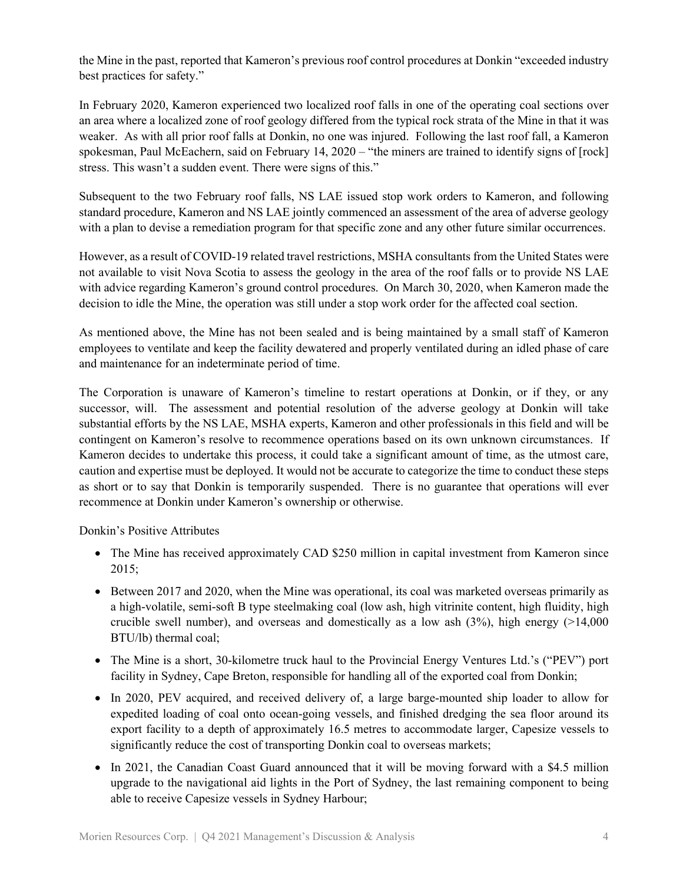the Mine in the past, reported that Kameron's previous roof control procedures at Donkin "exceeded industry best practices for safety."

In February 2020, Kameron experienced two localized roof falls in one of the operating coal sections over an area where a localized zone of roof geology differed from the typical rock strata of the Mine in that it was weaker. As with all prior roof falls at Donkin, no one was injured. Following the last roof fall, a Kameron spokesman, Paul McEachern, said on February 14, 2020 – "the miners are trained to identify signs of [rock] stress. This wasn't a sudden event. There were signs of this."

Subsequent to the two February roof falls, NS LAE issued stop work orders to Kameron, and following standard procedure, Kameron and NS LAE jointly commenced an assessment of the area of adverse geology with a plan to devise a remediation program for that specific zone and any other future similar occurrences.

However, as a result of COVID-19 related travel restrictions, MSHA consultants from the United States were not available to visit Nova Scotia to assess the geology in the area of the roof falls or to provide NS LAE with advice regarding Kameron's ground control procedures. On March 30, 2020, when Kameron made the decision to idle the Mine, the operation was still under a stop work order for the affected coal section.

As mentioned above, the Mine has not been sealed and is being maintained by a small staff of Kameron employees to ventilate and keep the facility dewatered and properly ventilated during an idled phase of care and maintenance for an indeterminate period of time.

The Corporation is unaware of Kameron's timeline to restart operations at Donkin, or if they, or any successor, will. The assessment and potential resolution of the adverse geology at Donkin will take substantial efforts by the NS LAE, MSHA experts, Kameron and other professionals in this field and will be contingent on Kameron's resolve to recommence operations based on its own unknown circumstances. If Kameron decides to undertake this process, it could take a significant amount of time, as the utmost care, caution and expertise must be deployed. It would not be accurate to categorize the time to conduct these steps as short or to say that Donkin is temporarily suspended. There is no guarantee that operations will ever recommence at Donkin under Kameron's ownership or otherwise.

Donkin's Positive Attributes

- The Mine has received approximately CAD \$250 million in capital investment from Kameron since 2015;
- Between 2017 and 2020, when the Mine was operational, its coal was marketed overseas primarily as a high-volatile, semi-soft B type steelmaking coal (low ash, high vitrinite content, high fluidity, high crucible swell number), and overseas and domestically as a low ash  $(3\%)$ , high energy (>14,000) BTU/lb) thermal coal;
- The Mine is a short, 30-kilometre truck haul to the Provincial Energy Ventures Ltd.'s ("PEV") port facility in Sydney, Cape Breton, responsible for handling all of the exported coal from Donkin;
- In 2020, PEV acquired, and received delivery of, a large barge-mounted ship loader to allow for expedited loading of coal onto ocean-going vessels, and finished dredging the sea floor around its export facility to a depth of approximately 16.5 metres to accommodate larger, Capesize vessels to significantly reduce the cost of transporting Donkin coal to overseas markets;
- In 2021, the Canadian Coast Guard announced that it will be moving forward with a \$4.5 million upgrade to the navigational aid lights in the Port of Sydney, the last remaining component to being able to receive Capesize vessels in Sydney Harbour;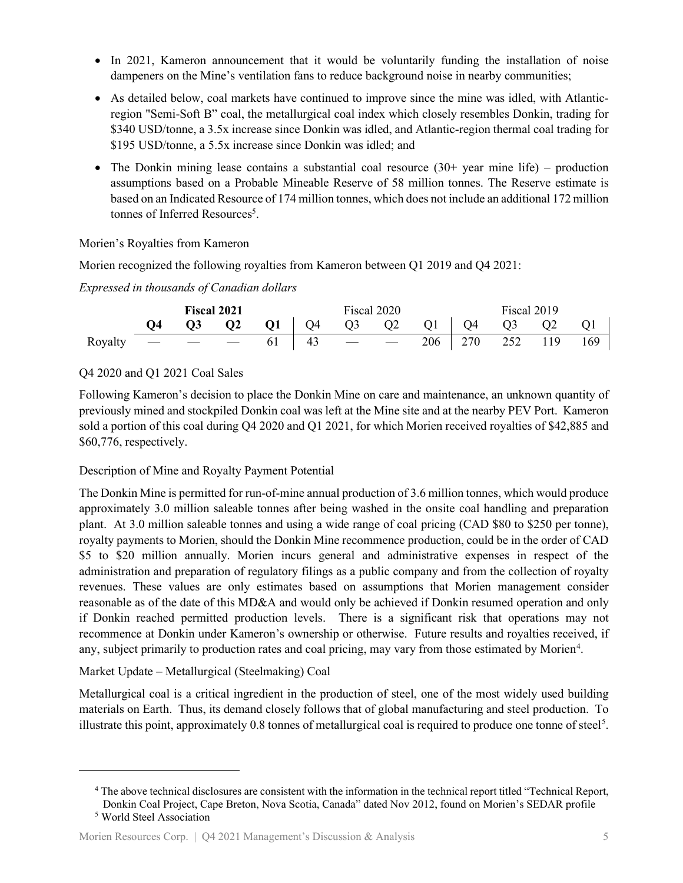- In 2021, Kameron announcement that it would be voluntarily funding the installation of noise dampeners on the Mine's ventilation fans to reduce background noise in nearby communities;
- As detailed below, coal markets have continued to improve since the mine was idled, with Atlanticregion "Semi-Soft B" coal, the metallurgical coal index which closely resembles Donkin, trading for \$340 USD/tonne, a 3.5x increase since Donkin was idled, and Atlantic-region thermal coal trading for \$195 USD/tonne, a 5.5x increase since Donkin was idled; and
- The Donkin mining lease contains a substantial coal resource  $(30+)$  year mine life) production assumptions based on a Probable Mineable Reserve of 58 million tonnes. The Reserve estimate is based on an Indicated Resource of 174 million tonnes, which does not include an additional 172 million tonnes of Inferred Resources<sup>5</sup>.

Morien's Royalties from Kameron

Morien recognized the following royalties from Kameron between Q1 2019 and Q4 2021:

*Expressed in thousands of Canadian dollars* 

|         | <b>Fiscal 2021</b> |                                                                                                                                                                                                                                                                                                                                                                                                                                                                            |          | Fiscal 2020                                 |    |                         |                          | Fiscal 2019 |     |     |     |     |
|---------|--------------------|----------------------------------------------------------------------------------------------------------------------------------------------------------------------------------------------------------------------------------------------------------------------------------------------------------------------------------------------------------------------------------------------------------------------------------------------------------------------------|----------|---------------------------------------------|----|-------------------------|--------------------------|-------------|-----|-----|-----|-----|
|         | Ο4                 | $\overline{O3}$                                                                                                                                                                                                                                                                                                                                                                                                                                                            | $\bf Q2$ | $Q1$   $Q4$ $Q3$ $Q2$ $Q1$   $Q4$ $Q3$ $Q2$ |    |                         |                          |             |     |     |     | -Q1 |
| Royalty |                    | $\frac{1}{2} \left( \frac{1}{2} \right) \left( \frac{1}{2} \right) \left( \frac{1}{2} \right) \left( \frac{1}{2} \right) \left( \frac{1}{2} \right) \left( \frac{1}{2} \right) \left( \frac{1}{2} \right) \left( \frac{1}{2} \right) \left( \frac{1}{2} \right) \left( \frac{1}{2} \right) \left( \frac{1}{2} \right) \left( \frac{1}{2} \right) \left( \frac{1}{2} \right) \left( \frac{1}{2} \right) \left( \frac{1}{2} \right) \left( \frac{1}{2} \right) \left( \frac$ |          |                                             | 43 | <b>The Common State</b> | $\overline{\phantom{0}}$ | 206         | 270 | 252 | 119 | 169 |

Q4 2020 and Q1 2021 Coal Sales

Following Kameron's decision to place the Donkin Mine on care and maintenance, an unknown quantity of previously mined and stockpiled Donkin coal was left at the Mine site and at the nearby PEV Port. Kameron sold a portion of this coal during Q4 2020 and Q1 2021, for which Morien received royalties of \$42,885 and \$60,776, respectively.

Description of Mine and Royalty Payment Potential

The Donkin Mine is permitted for run-of-mine annual production of 3.6 million tonnes, which would produce approximately 3.0 million saleable tonnes after being washed in the onsite coal handling and preparation plant. At 3.0 million saleable tonnes and using a wide range of coal pricing (CAD \$80 to \$250 per tonne), royalty payments to Morien, should the Donkin Mine recommence production, could be in the order of CAD \$5 to \$20 million annually. Morien incurs general and administrative expenses in respect of the administration and preparation of regulatory filings as a public company and from the collection of royalty revenues. These values are only estimates based on assumptions that Morien management consider reasonable as of the date of this MD&A and would only be achieved if Donkin resumed operation and only if Donkin reached permitted production levels. There is a significant risk that operations may not recommence at Donkin under Kameron's ownership or otherwise. Future results and royalties received, if any, subject primarily to production rates and coal pricing, may vary from those estimated by Morien<sup>[4](#page-4-0)</sup>.

Market Update – Metallurgical (Steelmaking) Coal

Metallurgical coal is a critical ingredient in the production of steel, one of the most widely used building materials on Earth. Thus, its demand closely follows that of global manufacturing and steel production. To illustrate this point, approximately  $0.8$  tonnes of metallurgical coal is required to produce one tonne of steel<sup>[5](#page-4-1)</sup>.

<span id="page-4-1"></span><span id="page-4-0"></span><sup>4</sup> The above technical disclosures are consistent with the information in the technical report titled "Technical Report, Donkin Coal Project, Cape Breton, Nova Scotia, Canada" dated Nov 2012, found on Morien's SEDAR profile <sup>5</sup> World Steel Association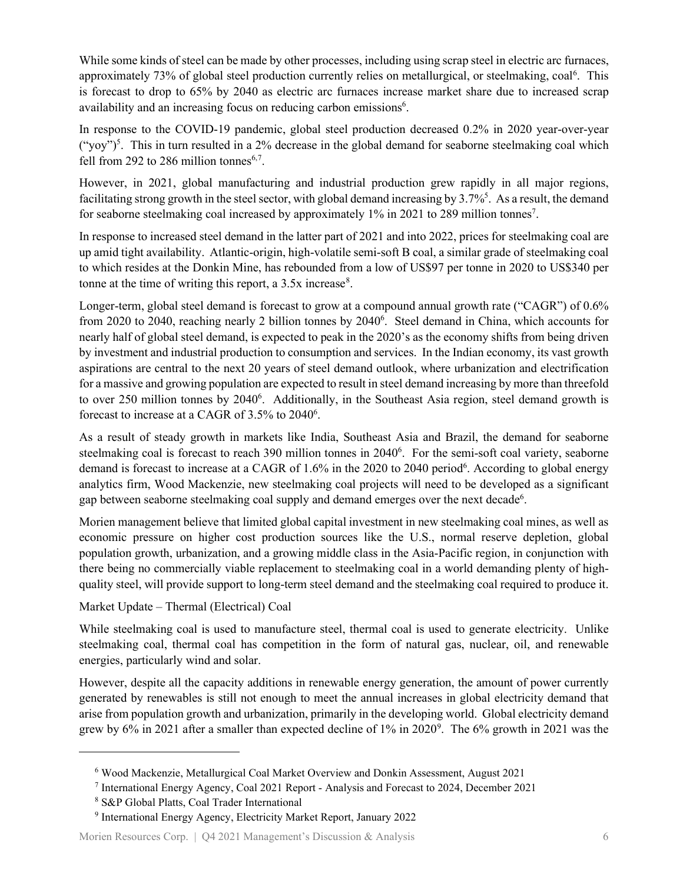While some kinds of steel can be made by other processes, including using scrap steel in electric arc furnaces, approximately 73% of global steel production currently relies on metallurgical, or steelmaking, coal<sup>[6](#page-5-0)</sup>. This is forecast to drop to 65% by 2040 as electric arc furnaces increase market share due to increased scrap availability and an increasing focus on reducing carbon emissions<sup>6</sup>.

In response to the COVID-19 pandemic, global steel production decreased 0.2% in 2020 year-over-year  $("yoy")^5$ . This in turn resulted in a 2% decrease in the global demand for seaborne steelmaking coal which fell from 292 to 286 million tonnes<sup>6,[7](#page-5-1)</sup>.

However, in 2021, global manufacturing and industrial production grew rapidly in all major regions, facilitating strong growth in the steel sector, with global demand increasing by 3.7%<sup>5</sup>. As a result, the demand for seaborne steelmaking coal increased by approximately 1% in 2021 to 289 million tonnes<sup>7</sup>.

In response to increased steel demand in the latter part of 2021 and into 2022, prices for steelmaking coal are up amid tight availability. Atlantic-origin, high-volatile semi-soft B coal, a similar grade of steelmaking coal to which resides at the Donkin Mine, has rebounded from a low of US\$97 per tonne in 2020 to US\$340 per tonne at the time of writing this report, a  $3.5x$  increase<sup>[8](#page-5-2)</sup>.

Longer-term, global steel demand is forecast to grow at a compound annual growth rate ("CAGR") of 0.6% from 2020 to 2040, reaching nearly 2 billion tonnes by 2040<sup>6</sup>. Steel demand in China, which accounts for nearly half of global steel demand, is expected to peak in the 2020's as the economy shifts from being driven by investment and industrial production to consumption and services. In the Indian economy, its vast growth aspirations are central to the next 20 years of steel demand outlook, where urbanization and electrification for a massive and growing population are expected to result in steel demand increasing by more than threefold to over 250 million tonnes by 2040<sup>6</sup>. Additionally, in the Southeast Asia region, steel demand growth is forecast to increase at a CAGR of 3.5% to 2040<sup>6</sup>.

As a result of steady growth in markets like India, Southeast Asia and Brazil, the demand for seaborne steelmaking coal is forecast to reach 390 million tonnes in 2040<sup>6</sup>. For the semi-soft coal variety, seaborne demand is forecast to increase at a CAGR of 1.6% in the 2020 to 2040 period<sup>6</sup>. According to global energy analytics firm, Wood Mackenzie, new steelmaking coal projects will need to be developed as a significant gap between seaborne steelmaking coal supply and demand emerges over the next decade<sup>6</sup>.

Morien management believe that limited global capital investment in new steelmaking coal mines, as well as economic pressure on higher cost production sources like the U.S., normal reserve depletion, global population growth, urbanization, and a growing middle class in the Asia-Pacific region, in conjunction with there being no commercially viable replacement to steelmaking coal in a world demanding plenty of highquality steel, will provide support to long-term steel demand and the steelmaking coal required to produce it.

Market Update – Thermal (Electrical) Coal

While steelmaking coal is used to manufacture steel, thermal coal is used to generate electricity. Unlike steelmaking coal, thermal coal has competition in the form of natural gas, nuclear, oil, and renewable energies, particularly wind and solar.

However, despite all the capacity additions in renewable energy generation, the amount of power currently generated by renewables is still not enough to meet the annual increases in global electricity demand that arise from population growth and urbanization, primarily in the developing world. Global electricity demand grew by 6% in 2021 after a smaller than expected decline of 1% in 2020<sup>[9](#page-5-3)</sup>. The 6% growth in 2021 was the

<span id="page-5-0"></span><sup>6</sup> Wood Mackenzie, Metallurgical Coal Market Overview and Donkin Assessment, August 2021

<span id="page-5-1"></span><sup>7</sup> International Energy Agency, Coal 2021 Report - Analysis and Forecast to 2024, December 2021

<sup>8</sup> S&P Global Platts, Coal Trader International

<span id="page-5-3"></span><span id="page-5-2"></span><sup>9</sup> International Energy Agency, Electricity Market Report, January 2022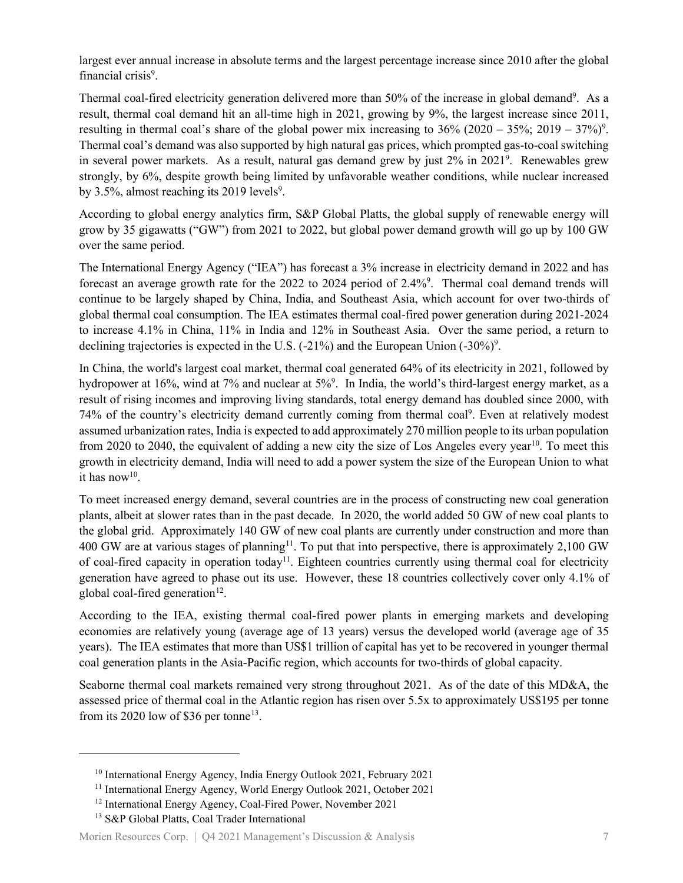largest ever annual increase in absolute terms and the largest percentage increase since 2010 after the global financial crisis<sup>9</sup>.

Thermal coal-fired electricity generation delivered more than 50% of the increase in global demand<sup>9</sup>. As a result, thermal coal demand hit an all-time high in 2021, growing by 9%, the largest increase since 2011, resulting in thermal coal's share of the global power mix increasing to  $36\%$  (2020 –  $35\%$ ; 2019 –  $37\%)$ <sup>9</sup>. Thermal coal's demand was also supported by high natural gas prices, which prompted gas-to-coal switching in several power markets. As a result, natural gas demand grew by just 2% in 2021<sup>9</sup>. Renewables grew strongly, by 6%, despite growth being limited by unfavorable weather conditions, while nuclear increased by 3.5%, almost reaching its 2019 levels<sup>9</sup>.

According to global energy analytics firm, S&P Global Platts, the global supply of renewable energy will grow by 35 gigawatts ("GW") from 2021 to 2022, but global power demand growth will go up by 100 GW over the same period.

The International Energy Agency ("IEA") has forecast a 3% increase in electricity demand in 2022 and has forecast an average growth rate for the 2022 to 2024 period of 2.4%<sup>9</sup>. Thermal coal demand trends will continue to be largely shaped by China, India, and Southeast Asia, which account for over two-thirds of global thermal coal consumption. The IEA estimates thermal coal-fired power generation during 2021-2024 to increase 4.1% in China, 11% in India and 12% in Southeast Asia. Over the same period, a return to declining trajectories is expected in the U.S.  $(-21\%)$  and the European Union  $(-30\%)$ <sup>9</sup>.

In China, the world's largest coal market, thermal coal generated 64% of its electricity in 2021, followed by hydropower at 16%, wind at 7% and nuclear at 5%<sup>9</sup>. In India, the world's third-largest energy market, as a result of rising incomes and improving living standards, total energy demand has doubled since 2000, with 74% of the country's electricity demand currently coming from thermal coal<sup>9</sup>. Even at relatively modest assumed urbanization rates, India is expected to add approximately 270 million people to its urban population from 2020 to 2040, the equivalent of adding a new city the size of Los Angeles every year<sup>10</sup>. To meet this growth in electricity demand, India will need to add a power system the size of the European Union to what it has now<sup>10</sup>.

To meet increased energy demand, several countries are in the process of constructing new coal generation plants, albeit at slower rates than in the past decade. In 2020, the world added 50 GW of new coal plants to the global grid. Approximately 140 GW of new coal plants are currently under construction and more than 400 GW are at various stages of planning<sup>[11](#page-6-1)</sup>. To put that into perspective, there is approximately 2,100 GW of coal-fired capacity in operation today<sup>11</sup>. Eighteen countries currently using thermal coal for electricity generation have agreed to phase out its use. However, these 18 countries collectively cover only 4.1% of global coal-fired generation $^{12}$ .

According to the IEA, existing thermal coal-fired power plants in emerging markets and developing economies are relatively young (average age of 13 years) versus the developed world (average age of 35 years). The IEA estimates that more than US\$1 trillion of capital has yet to be recovered in younger thermal coal generation plants in the Asia-Pacific region, which accounts for two-thirds of global capacity.

Seaborne thermal coal markets remained very strong throughout 2021. As of the date of this MD&A, the assessed price of thermal coal in the Atlantic region has risen over 5.5x to approximately US\$195 per tonne from its 2020 low of \$36 per tonne<sup>[13](#page-6-3)</sup>.

<span id="page-6-0"></span><sup>10</sup> International Energy Agency, India Energy Outlook 2021, February 2021

<span id="page-6-1"></span><sup>11</sup> International Energy Agency, World Energy Outlook 2021, October 2021

<span id="page-6-2"></span><sup>12</sup> International Energy Agency, Coal-Fired Power, November 2021

<span id="page-6-3"></span><sup>&</sup>lt;sup>13</sup> S&P Global Platts, Coal Trader International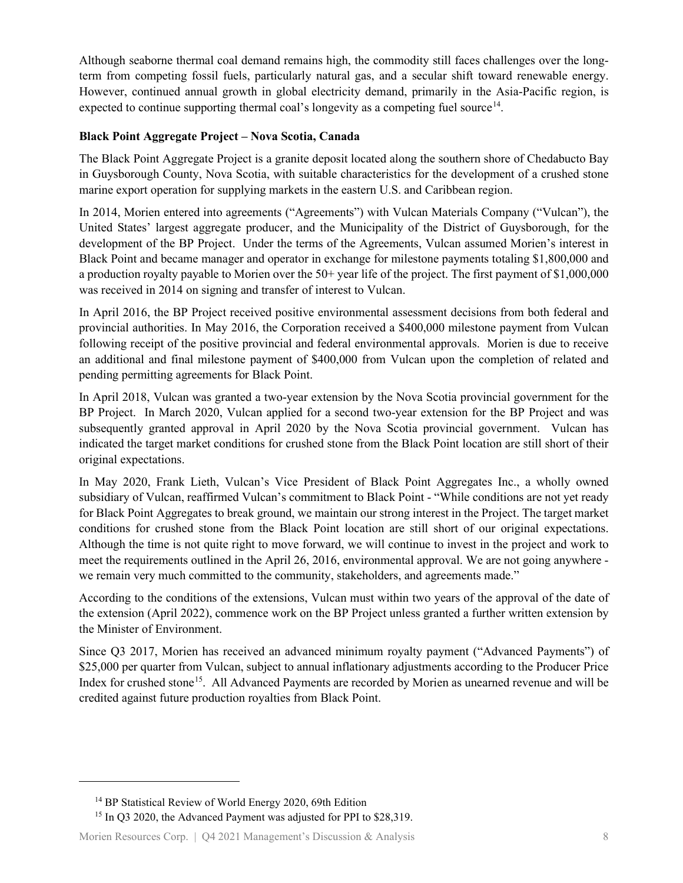Although seaborne thermal coal demand remains high, the commodity still faces challenges over the longterm from competing fossil fuels, particularly natural gas, and a secular shift toward renewable energy. However, continued annual growth in global electricity demand, primarily in the Asia-Pacific region, is expected to continue supporting thermal coal's longevity as a competing fuel source<sup>14</sup>.

#### **Black Point Aggregate Project – Nova Scotia, Canada**

The Black Point Aggregate Project is a granite deposit located along the southern shore of Chedabucto Bay in Guysborough County, Nova Scotia, with suitable characteristics for the development of a crushed stone marine export operation for supplying markets in the eastern U.S. and Caribbean region.

In 2014, Morien entered into agreements ("Agreements") with Vulcan Materials Company ("Vulcan"), the United States' largest aggregate producer, and the Municipality of the District of Guysborough, for the development of the BP Project. Under the terms of the Agreements, Vulcan assumed Morien's interest in Black Point and became manager and operator in exchange for milestone payments totaling \$1,800,000 and a production royalty payable to Morien over the 50+ year life of the project. The first payment of \$1,000,000 was received in 2014 on signing and transfer of interest to Vulcan.

In April 2016, the BP Project received positive environmental assessment decisions from both federal and provincial authorities. In May 2016, the Corporation received a \$400,000 milestone payment from Vulcan following receipt of the positive provincial and federal environmental approvals. Morien is due to receive an additional and final milestone payment of \$400,000 from Vulcan upon the completion of related and pending permitting agreements for Black Point.

In April 2018, Vulcan was granted a two-year extension by the Nova Scotia provincial government for the BP Project. In March 2020, Vulcan applied for a second two-year extension for the BP Project and was subsequently granted approval in April 2020 by the Nova Scotia provincial government. Vulcan has indicated the target market conditions for crushed stone from the Black Point location are still short of their original expectations.

In May 2020, Frank Lieth, Vulcan's Vice President of Black Point Aggregates Inc., a wholly owned subsidiary of Vulcan, reaffirmed Vulcan's commitment to Black Point - "While conditions are not yet ready for Black Point Aggregates to break ground, we maintain our strong interest in the Project. The target market conditions for crushed stone from the Black Point location are still short of our original expectations. Although the time is not quite right to move forward, we will continue to invest in the project and work to meet the requirements outlined in the April 26, 2016, environmental approval. We are not going anywhere we remain very much committed to the community, stakeholders, and agreements made."

According to the conditions of the extensions, Vulcan must within two years of the approval of the date of the extension (April 2022), commence work on the BP Project unless granted a further written extension by the Minister of Environment.

Since Q3 2017, Morien has received an advanced minimum royalty payment ("Advanced Payments") of \$25,000 per quarter from Vulcan, subject to annual inflationary adjustments according to the Producer Price Index for crushed stone<sup>15</sup>. All Advanced Payments are recorded by Morien as unearned revenue and will be credited against future production royalties from Black Point.

<sup>14</sup> BP Statistical Review of World Energy 2020, 69th Edition

<span id="page-7-1"></span><span id="page-7-0"></span><sup>&</sup>lt;sup>15</sup> In Q3 2020, the Advanced Payment was adjusted for PPI to \$28,319.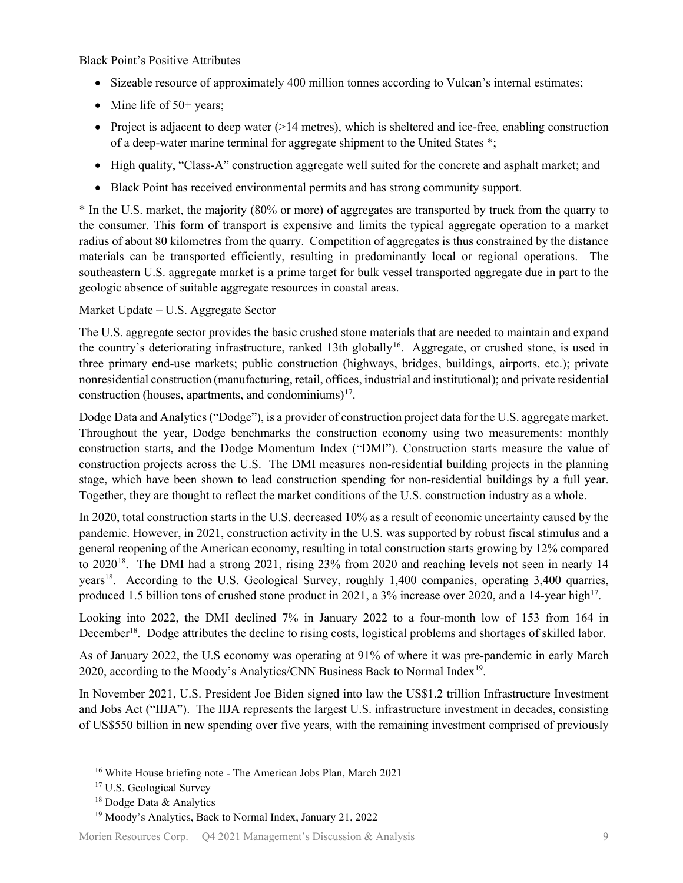Black Point's Positive Attributes

- Sizeable resource of approximately 400 million tonnes according to Vulcan's internal estimates;
- Mine life of  $50+$  years;
- Project is adjacent to deep water (>14 metres), which is sheltered and ice-free, enabling construction of a deep-water marine terminal for aggregate shipment to the United States \*;
- High quality, "Class-A" construction aggregate well suited for the concrete and asphalt market; and
- Black Point has received environmental permits and has strong community support.

\* In the U.S. market, the majority (80% or more) of aggregates are transported by truck from the quarry to the consumer. This form of transport is expensive and limits the typical aggregate operation to a market radius of about 80 kilometres from the quarry. Competition of aggregates is thus constrained by the distance materials can be transported efficiently, resulting in predominantly local or regional operations. The southeastern U.S. aggregate market is a prime target for bulk vessel transported aggregate due in part to the geologic absence of suitable aggregate resources in coastal areas.

Market Update – U.S. Aggregate Sector

The U.S. aggregate sector provides the basic crushed stone materials that are needed to maintain and expand the country's deteriorating infrastructure, ranked 13th globally<sup>[16](#page-8-0)</sup>. Aggregate, or crushed stone, is used in three primary end-use markets; public construction (highways, bridges, buildings, airports, etc.); private nonresidential construction (manufacturing, retail, offices, industrial and institutional); and private residential construction (houses, apartments, and condominiums) $17$ .

Dodge Data and Analytics ("Dodge"), is a provider of construction project data for the U.S. aggregate market. Throughout the year, Dodge benchmarks the construction economy using two measurements: monthly construction starts, and the Dodge Momentum Index ("DMI"). Construction starts measure the value of construction projects across the U.S. The DMI measures non-residential building projects in the planning stage, which have been shown to lead construction spending for non-residential buildings by a full year. Together, they are thought to reflect the market conditions of the U.S. construction industry as a whole.

In 2020, total construction starts in the U.S. decreased 10% as a result of economic uncertainty caused by the pandemic. However, in 2021, construction activity in the U.S. was supported by robust fiscal stimulus and a general reopening of the American economy, resulting in total construction starts growing by 12% compared to 2020[18.](#page-8-2) The DMI had a strong 2021, rising 23% from 2020 and reaching levels not seen in nearly 14 years<sup>18</sup>. According to the U.S. Geological Survey, roughly 1,400 companies, operating 3,400 quarries, produced 1.5 billion tons of crushed stone product in 2021, a 3% increase over 2020, and a 14-year high<sup>17</sup>.

Looking into 2022, the DMI declined 7% in January 2022 to a four-month low of 153 from 164 in December<sup>18</sup>. Dodge attributes the decline to rising costs, logistical problems and shortages of skilled labor.

As of January 2022, the U.S economy was operating at 91% of where it was pre-pandemic in early March 2020, according to the Moody's Analytics/CNN Business Back to Normal Index<sup>[19](#page-8-3)</sup>.

In November 2021, U.S. President Joe Biden signed into law the US\$1.2 trillion Infrastructure Investment and Jobs Act ("IIJA"). The IIJA represents the largest U.S. infrastructure investment in decades, consisting of US\$550 billion in new spending over five years, with the remaining investment comprised of previously

<span id="page-8-3"></span><span id="page-8-2"></span><span id="page-8-1"></span>Morien Resources Corp. | Q4 2021 Management's Discussion & Analysis 9

<span id="page-8-0"></span><sup>&</sup>lt;sup>16</sup> White House briefing note - The American Jobs Plan, March 2021

<sup>&</sup>lt;sup>17</sup> U.S. Geological Survey

<sup>&</sup>lt;sup>18</sup> Dodge Data & Analytics

<sup>19</sup> Moody's Analytics, Back to Normal Index, January 21, 2022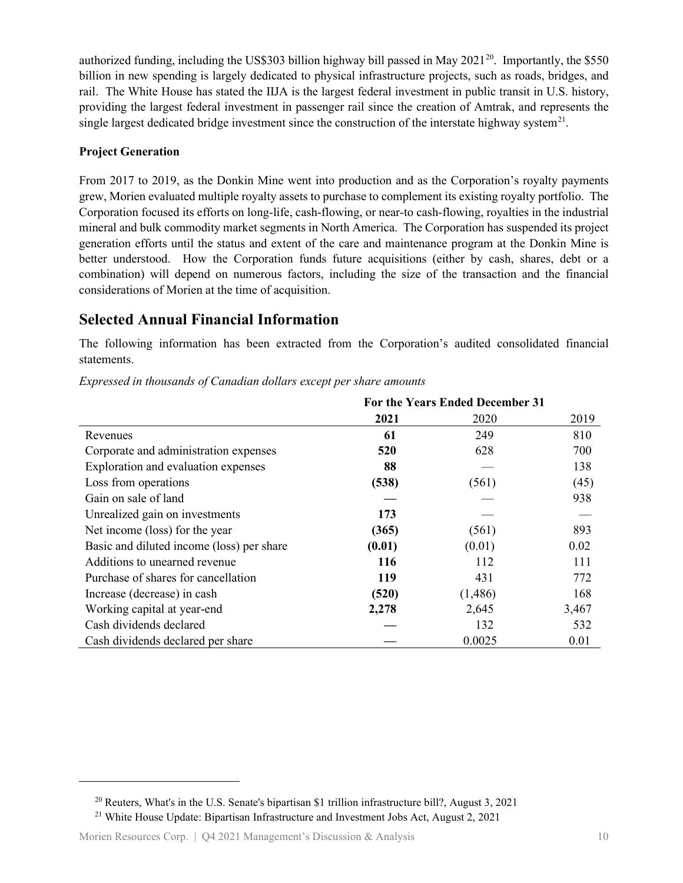authorized funding, including the US\$303 billion highway bill passed in May  $2021^{20}$ . Importantly, the \$550 billion in new spending is largely dedicated to physical infrastructure projects, such as roads, bridges, and rail. The White House has stated the IIJA is the largest federal investment in public transit in U.S. history, providing the largest federal investment in passenger rail since the creation of Amtrak, and represents the single largest dedicated bridge investment since the construction of the interstate highway system<sup>[21](#page-9-1)</sup>.

#### **Project Generation**

From 2017 to 2019, as the Donkin Mine went into production and as the Corporation's royalty payments grew, Morien evaluated multiple royalty assets to purchase to complement its existing royalty portfolio. The Corporation focused its efforts on long-life, cash-flowing, or near-to cash-flowing, royalties in the industrial mineral and bulk commodity market segments in North America. The Corporation has suspended its project generation efforts until the status and extent of the care and maintenance program at the Donkin Mine is better understood. How the Corporation funds future acquisitions (either by cash, shares, debt or a combination) will depend on numerous factors, including the size of the transaction and the financial considerations of Morien at the time of acquisition.

### **Selected Annual Financial Information**

The following information has been extracted from the Corporation's audited consolidated financial statements.

|                                           | For the Years Ended December 31 |         |       |
|-------------------------------------------|---------------------------------|---------|-------|
|                                           | 2021                            | 2020    | 2019  |
| Revenues                                  | 61                              | 249     | 810   |
| Corporate and administration expenses     | 520                             | 628     | 700   |
| Exploration and evaluation expenses       | 88                              |         | 138   |
| Loss from operations                      | (538)                           | (561)   | (45)  |
| Gain on sale of land                      |                                 |         | 938   |
| Unrealized gain on investments            | 173                             |         |       |
| Net income (loss) for the year            | (365)                           | (561)   | 893   |
| Basic and diluted income (loss) per share | (0.01)                          | (0.01)  | 0.02  |
| Additions to unearned revenue             | 116                             | 112     | 111   |
| Purchase of shares for cancellation       | 119                             | 431     | 772   |
| Increase (decrease) in cash               | (520)                           | (1,486) | 168   |
| Working capital at year-end               | 2,278                           | 2,645   | 3,467 |
| Cash dividends declared                   |                                 | 132     | 532   |
| Cash dividends declared per share         |                                 | 0.0025  | 0.01  |

<span id="page-9-0"></span><sup>20</sup> Reuters, What's in the U.S. Senate's bipartisan \$1 trillion infrastructure bill?, August 3, 2021

<span id="page-9-1"></span><sup>&</sup>lt;sup>21</sup> White House Update: Bipartisan Infrastructure and Investment Jobs Act, August 2, 2021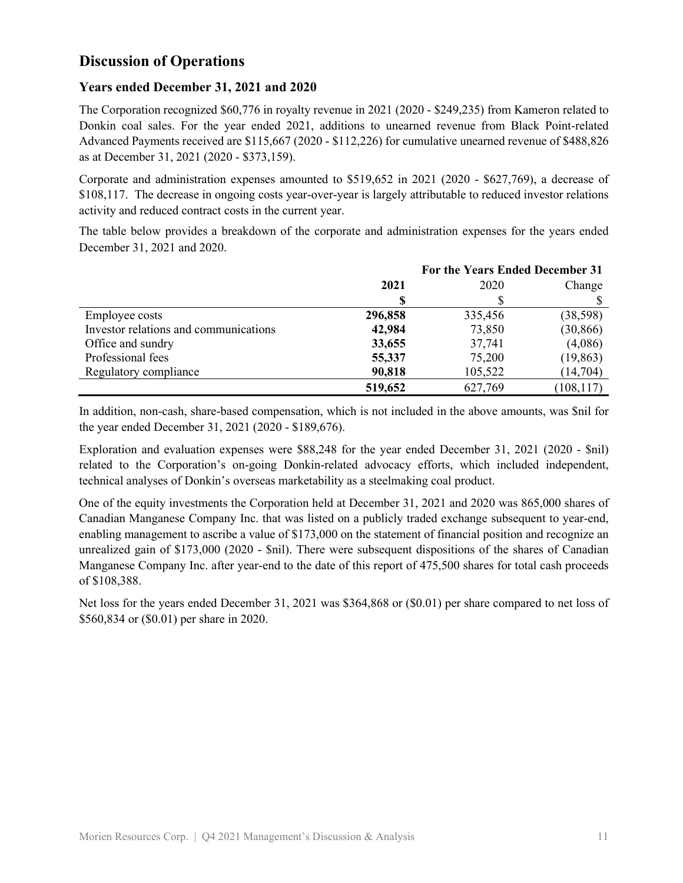# **Discussion of Operations**

### **Years ended December 31, 2021 and 2020**

The Corporation recognized \$60,776 in royalty revenue in 2021 (2020 - \$249,235) from Kameron related to Donkin coal sales. For the year ended 2021, additions to unearned revenue from Black Point-related Advanced Payments received are \$115,667 (2020 - \$112,226) for cumulative unearned revenue of \$488,826 as at December 31, 2021 (2020 - \$373,159).

Corporate and administration expenses amounted to \$519,652 in 2021 (2020 - \$627,769), a decrease of \$108,117. The decrease in ongoing costs year-over-year is largely attributable to reduced investor relations activity and reduced contract costs in the current year.

The table below provides a breakdown of the corporate and administration expenses for the years ended December 31, 2021 and 2020.

|                                       |         | For the Years Ended December 31 |            |  |
|---------------------------------------|---------|---------------------------------|------------|--|
|                                       | 2021    | 2020<br>Change                  |            |  |
|                                       |         |                                 |            |  |
| Employee costs                        | 296,858 | 335,456                         | (38, 598)  |  |
| Investor relations and communications | 42,984  | 73,850                          | (30, 866)  |  |
| Office and sundry                     | 33,655  | 37,741                          | (4,086)    |  |
| Professional fees                     | 55,337  | 75,200                          | (19, 863)  |  |
| Regulatory compliance                 | 90,818  | 105,522                         | (14,704)   |  |
|                                       | 519,652 | 627,769                         | (108, 117) |  |

In addition, non-cash, share-based compensation, which is not included in the above amounts, was \$nil for the year ended December 31, 2021 (2020 - \$189,676).

Exploration and evaluation expenses were \$88,248 for the year ended December 31, 2021 (2020 - \$nil) related to the Corporation's on-going Donkin-related advocacy efforts, which included independent, technical analyses of Donkin's overseas marketability as a steelmaking coal product.

One of the equity investments the Corporation held at December 31, 2021 and 2020 was 865,000 shares of Canadian Manganese Company Inc. that was listed on a publicly traded exchange subsequent to year-end, enabling management to ascribe a value of \$173,000 on the statement of financial position and recognize an unrealized gain of \$173,000 (2020 - \$nil). There were subsequent dispositions of the shares of Canadian Manganese Company Inc. after year-end to the date of this report of 475,500 shares for total cash proceeds of \$108,388.

Net loss for the years ended December 31, 2021 was \$364,868 or (\$0.01) per share compared to net loss of \$560,834 or (\$0.01) per share in 2020.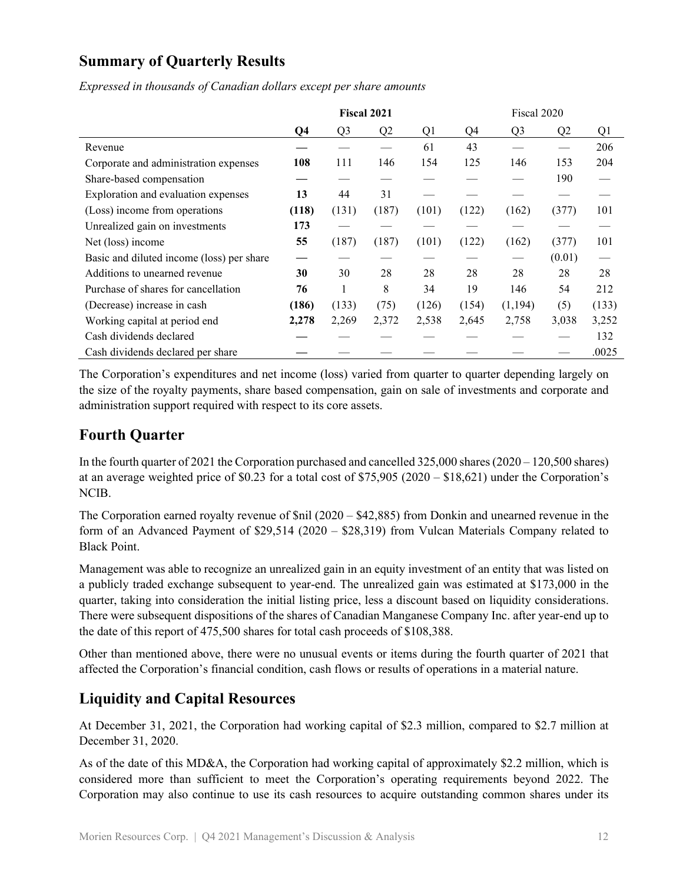# **Summary of Quarterly Results**

*Expressed in thousands of Canadian dollars except per share amounts*

|                                           | <b>Fiscal 2021</b> |                |       |       | Fiscal 2020 |                |                |       |
|-------------------------------------------|--------------------|----------------|-------|-------|-------------|----------------|----------------|-------|
|                                           | Q4                 | Q <sub>3</sub> | Q2    | Q1    | Q4          | Q <sub>3</sub> | Q <sub>2</sub> | Q1    |
| Revenue                                   |                    |                |       | 61    | 43          |                |                | 206   |
| Corporate and administration expenses     | 108                | 111            | 146   | 154   | 125         | 146            | 153            | 204   |
| Share-based compensation                  |                    |                |       |       |             |                | 190            |       |
| Exploration and evaluation expenses       | 13                 | 44             | 31    |       |             |                |                |       |
| (Loss) income from operations             | (118)              | (131)          | (187) | (101) | (122)       | (162)          | (377)          | 101   |
| Unrealized gain on investments            | 173                |                |       |       |             |                |                |       |
| Net (loss) income                         | 55                 | (187)          | (187) | (101) | (122)       | (162)          | (377)          | 101   |
| Basic and diluted income (loss) per share |                    |                |       |       |             |                | (0.01)         |       |
| Additions to unearned revenue             | 30                 | 30             | 28    | 28    | 28          | 28             | 28             | 28    |
| Purchase of shares for cancellation       | 76                 | 1              | 8     | 34    | 19          | 146            | 54             | 212   |
| (Decrease) increase in cash               | (186)              | (133)          | (75)  | (126) | (154)       | (1,194)        | (5)            | (133) |
| Working capital at period end             | 2,278              | 2,269          | 2,372 | 2,538 | 2,645       | 2,758          | 3,038          | 3,252 |
| Cash dividends declared                   |                    |                |       |       |             |                |                | 132   |
| Cash dividends declared per share         |                    |                |       |       |             |                |                | .0025 |

The Corporation's expenditures and net income (loss) varied from quarter to quarter depending largely on the size of the royalty payments, share based compensation, gain on sale of investments and corporate and administration support required with respect to its core assets.

# **Fourth Quarter**

In the fourth quarter of 2021 the Corporation purchased and cancelled 325,000 shares (2020 – 120,500 shares) at an average weighted price of \$0.23 for a total cost of \$75,905 (2020 – \$18,621) under the Corporation's NCIB.

The Corporation earned royalty revenue of \$nil (2020 – \$42,885) from Donkin and unearned revenue in the form of an Advanced Payment of \$29,514 (2020 – \$28,319) from Vulcan Materials Company related to Black Point.

Management was able to recognize an unrealized gain in an equity investment of an entity that was listed on a publicly traded exchange subsequent to year-end. The unrealized gain was estimated at \$173,000 in the quarter, taking into consideration the initial listing price, less a discount based on liquidity considerations. There were subsequent dispositions of the shares of Canadian Manganese Company Inc. after year-end up to the date of this report of 475,500 shares for total cash proceeds of \$108,388.

Other than mentioned above, there were no unusual events or items during the fourth quarter of 2021 that affected the Corporation's financial condition, cash flows or results of operations in a material nature.

# **Liquidity and Capital Resources**

At December 31, 2021, the Corporation had working capital of \$2.3 million, compared to \$2.7 million at December 31, 2020.

As of the date of this MD&A, the Corporation had working capital of approximately \$2.2 million, which is considered more than sufficient to meet the Corporation's operating requirements beyond 2022. The Corporation may also continue to use its cash resources to acquire outstanding common shares under its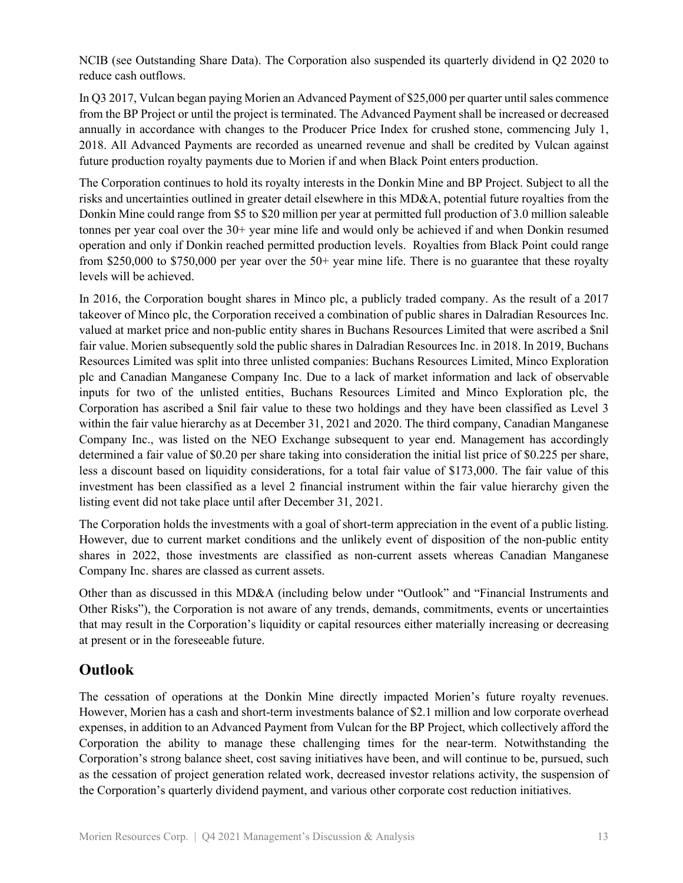NCIB (see Outstanding Share Data). The Corporation also suspended its quarterly dividend in Q2 2020 to reduce cash outflows.

In Q3 2017, Vulcan began paying Morien an Advanced Payment of \$25,000 per quarter until sales commence from the BP Project or until the project is terminated. The Advanced Payment shall be increased or decreased annually in accordance with changes to the Producer Price Index for crushed stone, commencing July 1, 2018. All Advanced Payments are recorded as unearned revenue and shall be credited by Vulcan against future production royalty payments due to Morien if and when Black Point enters production.

The Corporation continues to hold its royalty interests in the Donkin Mine and BP Project. Subject to all the risks and uncertainties outlined in greater detail elsewhere in this MD&A, potential future royalties from the Donkin Mine could range from \$5 to \$20 million per year at permitted full production of 3.0 million saleable tonnes per year coal over the 30+ year mine life and would only be achieved if and when Donkin resumed operation and only if Donkin reached permitted production levels. Royalties from Black Point could range from \$250,000 to \$750,000 per year over the  $50+$  year mine life. There is no guarantee that these royalty levels will be achieved.

In 2016, the Corporation bought shares in Minco plc, a publicly traded company. As the result of a 2017 takeover of Minco plc, the Corporation received a combination of public shares in Dalradian Resources Inc. valued at market price and non-public entity shares in Buchans Resources Limited that were ascribed a \$nil fair value. Morien subsequently sold the public shares in Dalradian Resources Inc. in 2018. In 2019, Buchans Resources Limited was split into three unlisted companies: Buchans Resources Limited, Minco Exploration plc and Canadian Manganese Company Inc. Due to a lack of market information and lack of observable inputs for two of the unlisted entities, Buchans Resources Limited and Minco Exploration plc, the Corporation has ascribed a \$nil fair value to these two holdings and they have been classified as Level 3 within the fair value hierarchy as at December 31, 2021 and 2020. The third company, Canadian Manganese Company Inc., was listed on the NEO Exchange subsequent to year end. Management has accordingly determined a fair value of \$0.20 per share taking into consideration the initial list price of \$0.225 per share, less a discount based on liquidity considerations, for a total fair value of \$173,000. The fair value of this investment has been classified as a level 2 financial instrument within the fair value hierarchy given the listing event did not take place until after December 31, 2021.

The Corporation holds the investments with a goal of short-term appreciation in the event of a public listing. However, due to current market conditions and the unlikely event of disposition of the non-public entity shares in 2022, those investments are classified as non-current assets whereas Canadian Manganese Company Inc. shares are classed as current assets.

Other than as discussed in this MD&A (including below under "Outlook" and "Financial Instruments and Other Risks"), the Corporation is not aware of any trends, demands, commitments, events or uncertainties that may result in the Corporation's liquidity or capital resources either materially increasing or decreasing at present or in the foreseeable future.

# **Outlook**

The cessation of operations at the Donkin Mine directly impacted Morien's future royalty revenues. However, Morien has a cash and short-term investments balance of \$2.1 million and low corporate overhead expenses, in addition to an Advanced Payment from Vulcan for the BP Project, which collectively afford the Corporation the ability to manage these challenging times for the near-term. Notwithstanding the Corporation's strong balance sheet, cost saving initiatives have been, and will continue to be, pursued, such as the cessation of project generation related work, decreased investor relations activity, the suspension of the Corporation's quarterly dividend payment, and various other corporate cost reduction initiatives.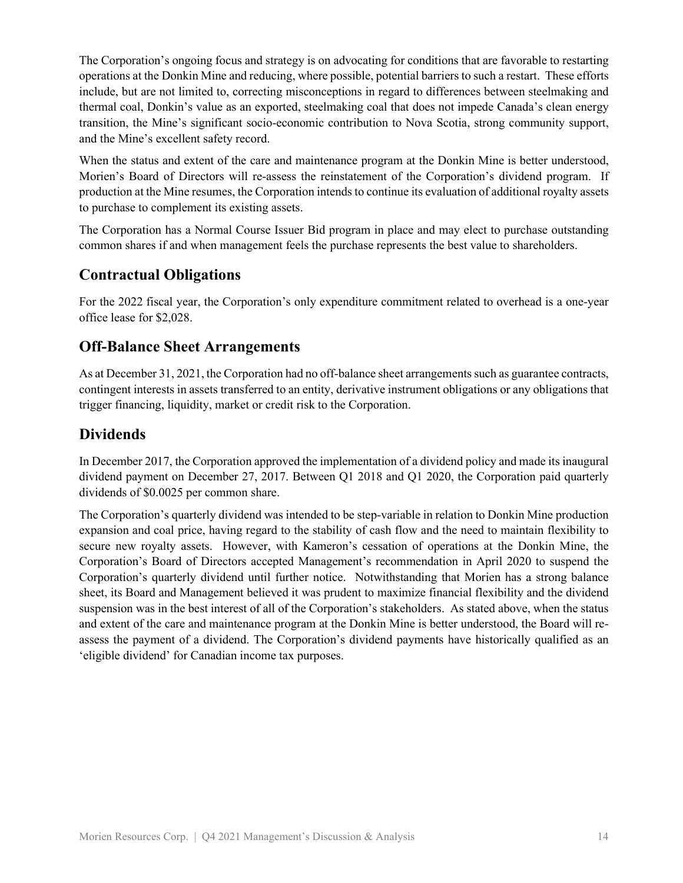The Corporation's ongoing focus and strategy is on advocating for conditions that are favorable to restarting operations at the Donkin Mine and reducing, where possible, potential barriers to such a restart. These efforts include, but are not limited to, correcting misconceptions in regard to differences between steelmaking and thermal coal, Donkin's value as an exported, steelmaking coal that does not impede Canada's clean energy transition, the Mine's significant socio-economic contribution to Nova Scotia, strong community support, and the Mine's excellent safety record.

When the status and extent of the care and maintenance program at the Donkin Mine is better understood, Morien's Board of Directors will re-assess the reinstatement of the Corporation's dividend program. If production at the Mine resumes, the Corporation intends to continue its evaluation of additional royalty assets to purchase to complement its existing assets.

The Corporation has a Normal Course Issuer Bid program in place and may elect to purchase outstanding common shares if and when management feels the purchase represents the best value to shareholders.

# **Contractual Obligations**

For the 2022 fiscal year, the Corporation's only expenditure commitment related to overhead is a one-year office lease for \$2,028.

## **Off-Balance Sheet Arrangements**

As at December 31, 2021, the Corporation had no off-balance sheet arrangements such as guarantee contracts, contingent interests in assets transferred to an entity, derivative instrument obligations or any obligations that trigger financing, liquidity, market or credit risk to the Corporation.

# **Dividends**

In December 2017, the Corporation approved the implementation of a dividend policy and made its inaugural dividend payment on December 27, 2017. Between Q1 2018 and Q1 2020, the Corporation paid quarterly dividends of \$0.0025 per common share.

The Corporation's quarterly dividend was intended to be step-variable in relation to Donkin Mine production expansion and coal price, having regard to the stability of cash flow and the need to maintain flexibility to secure new royalty assets. However, with Kameron's cessation of operations at the Donkin Mine, the Corporation's Board of Directors accepted Management's recommendation in April 2020 to suspend the Corporation's quarterly dividend until further notice. Notwithstanding that Morien has a strong balance sheet, its Board and Management believed it was prudent to maximize financial flexibility and the dividend suspension was in the best interest of all of the Corporation's stakeholders. As stated above, when the status and extent of the care and maintenance program at the Donkin Mine is better understood, the Board will reassess the payment of a dividend. The Corporation's dividend payments have historically qualified as an 'eligible dividend' for Canadian income tax purposes.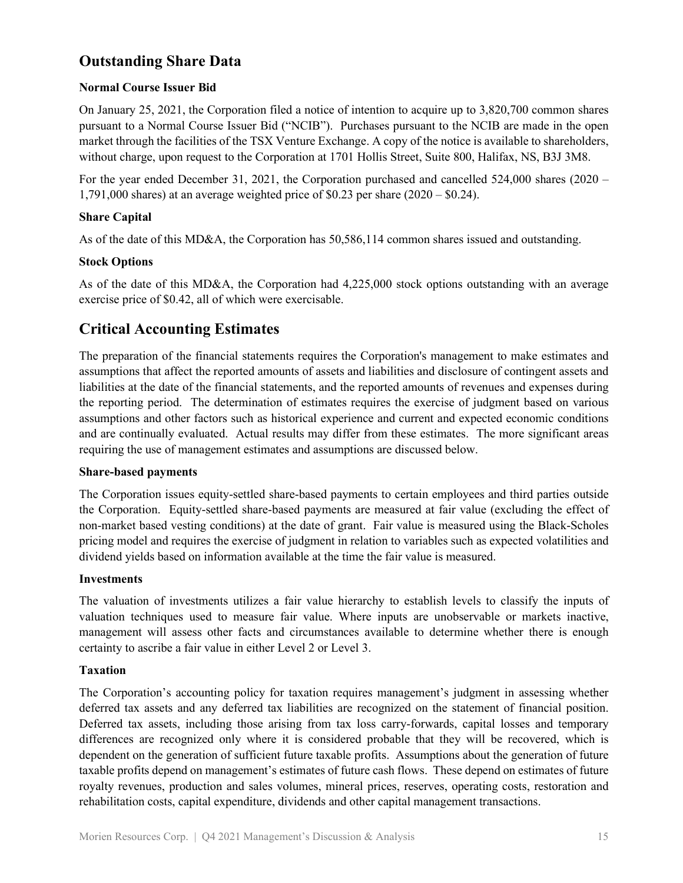# **Outstanding Share Data**

### **Normal Course Issuer Bid**

On January 25, 2021, the Corporation filed a notice of intention to acquire up to 3,820,700 common shares pursuant to a Normal Course Issuer Bid ("NCIB"). Purchases pursuant to the NCIB are made in the open market through the facilities of the TSX Venture Exchange. A copy of the notice is available to shareholders, without charge, upon request to the Corporation at 1701 Hollis Street, Suite 800, Halifax, NS, B3J 3M8.

For the year ended December 31, 2021, the Corporation purchased and cancelled 524,000 shares (2020 – 1,791,000 shares) at an average weighted price of \$0.23 per share (2020 – \$0.24).

### **Share Capital**

As of the date of this MD&A, the Corporation has 50,586,114 common shares issued and outstanding.

#### **Stock Options**

As of the date of this MD&A, the Corporation had 4,225,000 stock options outstanding with an average exercise price of \$0.42, all of which were exercisable.

## **Critical Accounting Estimates**

The preparation of the financial statements requires the Corporation's management to make estimates and assumptions that affect the reported amounts of assets and liabilities and disclosure of contingent assets and liabilities at the date of the financial statements, and the reported amounts of revenues and expenses during the reporting period. The determination of estimates requires the exercise of judgment based on various assumptions and other factors such as historical experience and current and expected economic conditions and are continually evaluated. Actual results may differ from these estimates. The more significant areas requiring the use of management estimates and assumptions are discussed below.

#### **Share-based payments**

The Corporation issues equity-settled share-based payments to certain employees and third parties outside the Corporation. Equity-settled share-based payments are measured at fair value (excluding the effect of non-market based vesting conditions) at the date of grant. Fair value is measured using the Black-Scholes pricing model and requires the exercise of judgment in relation to variables such as expected volatilities and dividend yields based on information available at the time the fair value is measured.

#### **Investments**

The valuation of investments utilizes a fair value hierarchy to establish levels to classify the inputs of valuation techniques used to measure fair value. Where inputs are unobservable or markets inactive, management will assess other facts and circumstances available to determine whether there is enough certainty to ascribe a fair value in either Level 2 or Level 3.

#### **Taxation**

The Corporation's accounting policy for taxation requires management's judgment in assessing whether deferred tax assets and any deferred tax liabilities are recognized on the statement of financial position. Deferred tax assets, including those arising from tax loss carry-forwards, capital losses and temporary differences are recognized only where it is considered probable that they will be recovered, which is dependent on the generation of sufficient future taxable profits. Assumptions about the generation of future taxable profits depend on management's estimates of future cash flows. These depend on estimates of future royalty revenues, production and sales volumes, mineral prices, reserves, operating costs, restoration and rehabilitation costs, capital expenditure, dividends and other capital management transactions.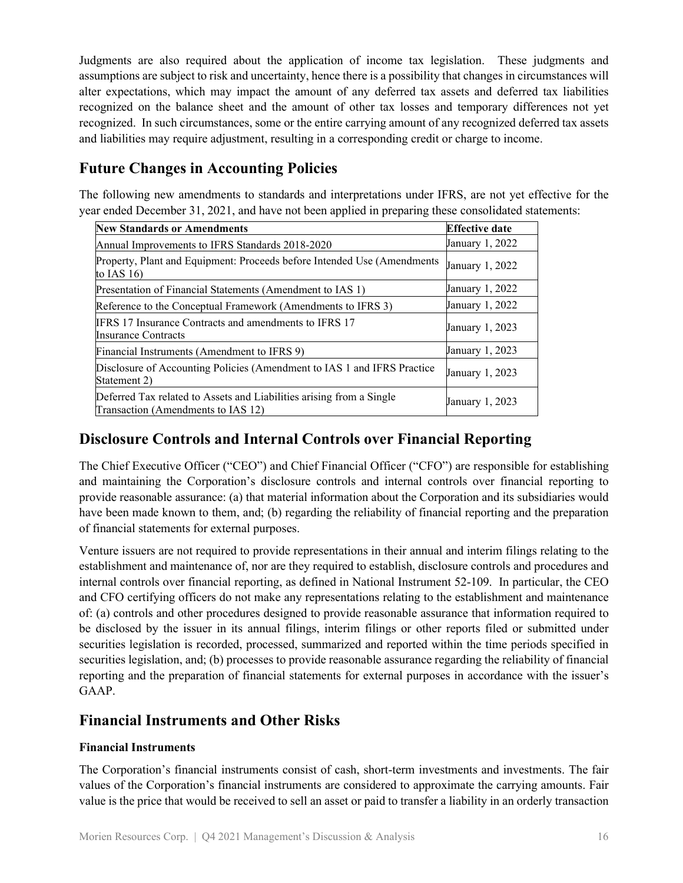Judgments are also required about the application of income tax legislation. These judgments and assumptions are subject to risk and uncertainty, hence there is a possibility that changes in circumstances will alter expectations, which may impact the amount of any deferred tax assets and deferred tax liabilities recognized on the balance sheet and the amount of other tax losses and temporary differences not yet recognized. In such circumstances, some or the entire carrying amount of any recognized deferred tax assets and liabilities may require adjustment, resulting in a corresponding credit or charge to income.

# **Future Changes in Accounting Policies**

The following new amendments to standards and interpretations under IFRS, are not yet effective for the year ended December 31, 2021, and have not been applied in preparing these consolidated statements:

| <b>New Standards or Amendments</b>                                                                         | <b>Effective date</b> |
|------------------------------------------------------------------------------------------------------------|-----------------------|
| Annual Improvements to IFRS Standards 2018-2020                                                            | January 1, 2022       |
| Property, Plant and Equipment: Proceeds before Intended Use (Amendments<br>to IAS $16$ )                   | January 1, 2022       |
| Presentation of Financial Statements (Amendment to IAS 1)                                                  | January 1, 2022       |
| Reference to the Conceptual Framework (Amendments to IFRS 3)                                               | January 1, 2022       |
| IFRS 17 Insurance Contracts and amendments to IFRS 17<br>Insurance Contracts                               | January 1, 2023       |
| Financial Instruments (Amendment to IFRS 9)                                                                | January 1, 2023       |
| Disclosure of Accounting Policies (Amendment to IAS 1 and IFRS Practice<br>Statement 2)                    | January 1, 2023       |
| Deferred Tax related to Assets and Liabilities arising from a Single<br>Transaction (Amendments to IAS 12) | January 1, 2023       |

# **Disclosure Controls and Internal Controls over Financial Reporting**

The Chief Executive Officer ("CEO") and Chief Financial Officer ("CFO") are responsible for establishing and maintaining the Corporation's disclosure controls and internal controls over financial reporting to provide reasonable assurance: (a) that material information about the Corporation and its subsidiaries would have been made known to them, and; (b) regarding the reliability of financial reporting and the preparation of financial statements for external purposes.

Venture issuers are not required to provide representations in their annual and interim filings relating to the establishment and maintenance of, nor are they required to establish, disclosure controls and procedures and internal controls over financial reporting, as defined in National Instrument 52-109. In particular, the CEO and CFO certifying officers do not make any representations relating to the establishment and maintenance of: (a) controls and other procedures designed to provide reasonable assurance that information required to be disclosed by the issuer in its annual filings, interim filings or other reports filed or submitted under securities legislation is recorded, processed, summarized and reported within the time periods specified in securities legislation, and; (b) processes to provide reasonable assurance regarding the reliability of financial reporting and the preparation of financial statements for external purposes in accordance with the issuer's GAAP.

# **Financial Instruments and Other Risks**

### **Financial Instruments**

The Corporation's financial instruments consist of cash, short-term investments and investments. The fair values of the Corporation's financial instruments are considered to approximate the carrying amounts. Fair value is the price that would be received to sell an asset or paid to transfer a liability in an orderly transaction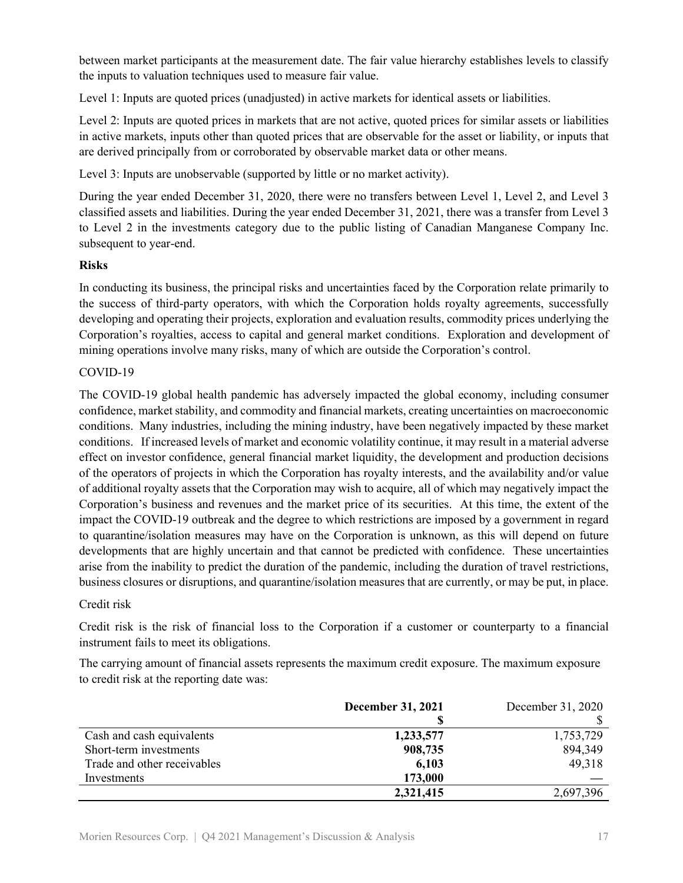between market participants at the measurement date. The fair value hierarchy establishes levels to classify the inputs to valuation techniques used to measure fair value.

Level 1: Inputs are quoted prices (unadjusted) in active markets for identical assets or liabilities.

Level 2: Inputs are quoted prices in markets that are not active, quoted prices for similar assets or liabilities in active markets, inputs other than quoted prices that are observable for the asset or liability, or inputs that are derived principally from or corroborated by observable market data or other means.

Level 3: Inputs are unobservable (supported by little or no market activity).

During the year ended December 31, 2020, there were no transfers between Level 1, Level 2, and Level 3 classified assets and liabilities. During the year ended December 31, 2021, there was a transfer from Level 3 to Level 2 in the investments category due to the public listing of Canadian Manganese Company Inc. subsequent to year-end.

#### **Risks**

In conducting its business, the principal risks and uncertainties faced by the Corporation relate primarily to the success of third-party operators, with which the Corporation holds royalty agreements, successfully developing and operating their projects, exploration and evaluation results, commodity prices underlying the Corporation's royalties, access to capital and general market conditions. Exploration and development of mining operations involve many risks, many of which are outside the Corporation's control.

#### COVID-19

The COVID-19 global health pandemic has adversely impacted the global economy, including consumer confidence, market stability, and commodity and financial markets, creating uncertainties on macroeconomic conditions. Many industries, including the mining industry, have been negatively impacted by these market conditions. If increased levels of market and economic volatility continue, it may result in a material adverse effect on investor confidence, general financial market liquidity, the development and production decisions of the operators of projects in which the Corporation has royalty interests, and the availability and/or value of additional royalty assets that the Corporation may wish to acquire, all of which may negatively impact the Corporation's business and revenues and the market price of its securities. At this time, the extent of the impact the COVID-19 outbreak and the degree to which restrictions are imposed by a government in regard to quarantine/isolation measures may have on the Corporation is unknown, as this will depend on future developments that are highly uncertain and that cannot be predicted with confidence. These uncertainties arise from the inability to predict the duration of the pandemic, including the duration of travel restrictions, business closures or disruptions, and quarantine/isolation measures that are currently, or may be put, in place.

#### Credit risk

Credit risk is the risk of financial loss to the Corporation if a customer or counterparty to a financial instrument fails to meet its obligations.

The carrying amount of financial assets represents the maximum credit exposure. The maximum exposure to credit risk at the reporting date was:

|                             | <b>December 31, 2021</b> | December 31, 2020 |
|-----------------------------|--------------------------|-------------------|
|                             |                          |                   |
| Cash and cash equivalents   | 1,233,577                | 1,753,729         |
| Short-term investments      | 908,735                  | 894,349           |
| Trade and other receivables | 6,103                    | 49,318            |
| Investments                 | 173,000                  |                   |
|                             | 2,321,415                | 2,697,396         |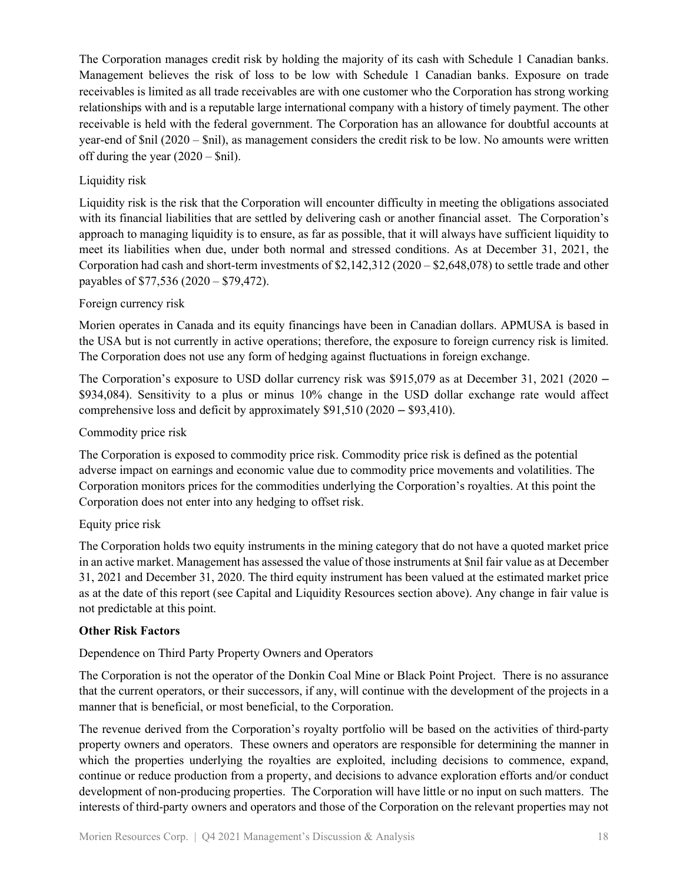The Corporation manages credit risk by holding the majority of its cash with Schedule 1 Canadian banks. Management believes the risk of loss to be low with Schedule 1 Canadian banks. Exposure on trade receivables is limited as all trade receivables are with one customer who the Corporation has strong working relationships with and is a reputable large international company with a history of timely payment. The other receivable is held with the federal government. The Corporation has an allowance for doubtful accounts at year-end of \$nil (2020 – \$nil), as management considers the credit risk to be low. No amounts were written off during the year  $(2020 - Snil)$ .

### Liquidity risk

Liquidity risk is the risk that the Corporation will encounter difficulty in meeting the obligations associated with its financial liabilities that are settled by delivering cash or another financial asset. The Corporation's approach to managing liquidity is to ensure, as far as possible, that it will always have sufficient liquidity to meet its liabilities when due, under both normal and stressed conditions. As at December 31, 2021, the Corporation had cash and short-term investments of \$2,142,312 (2020 – \$2,648,078) to settle trade and other payables of \$77,536 (2020 – \$79,472).

#### Foreign currency risk

Morien operates in Canada and its equity financings have been in Canadian dollars. APMUSA is based in the USA but is not currently in active operations; therefore, the exposure to foreign currency risk is limited. The Corporation does not use any form of hedging against fluctuations in foreign exchange.

The Corporation's exposure to USD dollar currency risk was \$915,079 as at December 31, 2021 (2020 – \$934,084). Sensitivity to a plus or minus 10% change in the USD dollar exchange rate would affect comprehensive loss and deficit by approximately \$91,510 (2020 – \$93,410).

#### Commodity price risk

The Corporation is exposed to commodity price risk. Commodity price risk is defined as the potential adverse impact on earnings and economic value due to commodity price movements and volatilities. The Corporation monitors prices for the commodities underlying the Corporation's royalties. At this point the Corporation does not enter into any hedging to offset risk.

#### Equity price risk

The Corporation holds two equity instruments in the mining category that do not have a quoted market price in an active market. Management has assessed the value of those instruments at \$nil fair value as at December 31, 2021 and December 31, 2020. The third equity instrument has been valued at the estimated market price as at the date of this report (see Capital and Liquidity Resources section above). Any change in fair value is not predictable at this point.

#### **Other Risk Factors**

### Dependence on Third Party Property Owners and Operators

The Corporation is not the operator of the Donkin Coal Mine or Black Point Project. There is no assurance that the current operators, or their successors, if any, will continue with the development of the projects in a manner that is beneficial, or most beneficial, to the Corporation.

The revenue derived from the Corporation's royalty portfolio will be based on the activities of third-party property owners and operators. These owners and operators are responsible for determining the manner in which the properties underlying the royalties are exploited, including decisions to commence, expand, continue or reduce production from a property, and decisions to advance exploration efforts and/or conduct development of non-producing properties. The Corporation will have little or no input on such matters. The interests of third-party owners and operators and those of the Corporation on the relevant properties may not